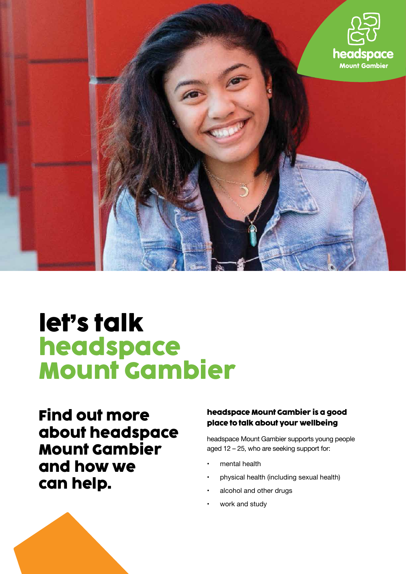

# **let's talk headspace Mount Gambier**

**Find out more about headspace Mount Gambier and how we can help.**

# **headspace Mount Gambier is a good place to talk about your wellbeing**

headspace Mount Gambier supports young people aged 12 – 25, who are seeking support for:

- mental health
- physical health (including sexual health)
- alcohol and other drugs
- work and study